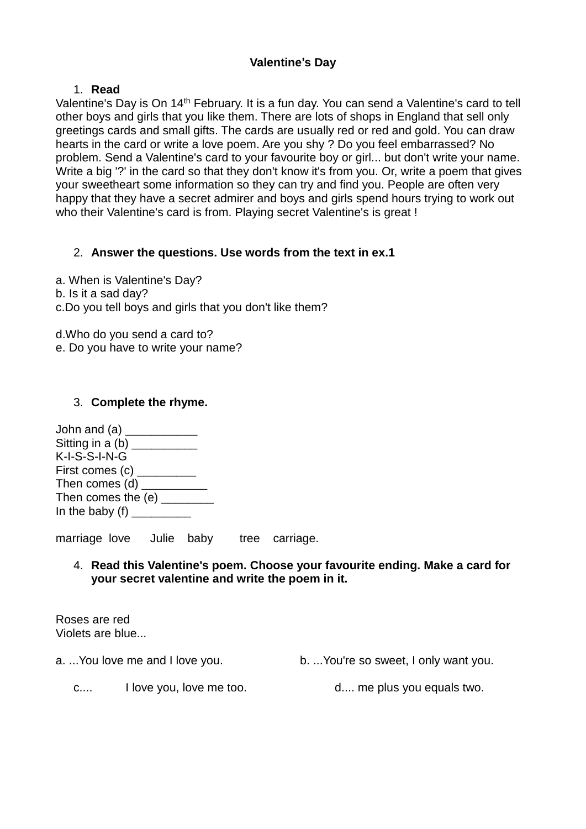## **Valentine's Day**

## 1. **Read**

Valentine's Day is On 14<sup>th</sup> February. It is a fun day. You can send a Valentine's card to tell other boys and girls that you like them. There are lots of shops in England that sell only greetings cards and small gifts. The cards are usually red or red and gold. You can draw hearts in the card or write a love poem. Are you shy ? Do you feel embarrassed? No problem. Send a Valentine's card to your favourite boy or girl... but don't write your name. Write a big '?' in the card so that they don't know it's from you. Or, write a poem that gives your sweetheart some information so they can try and find you. People are often very happy that they have a secret admirer and boys and girls spend hours trying to work out who their Valentine's card is from. Playing secret Valentine's is great !

# 2. **Answer the questions. Use words from the text in ex.1**

a. When is Valentine's Day? b. Is it a sad day? c.Do you tell boys and girls that you don't like them?

d.Who do you send a card to? e. Do you have to write your name?

## 3. **Complete the rhyme.**

John and (a)  $\frac{1}{2}$ Sitting in a  $(b)$ K-I-S-S-I-N-G First comes (c) \_\_\_\_\_\_\_\_\_ Then comes (d) \_\_\_\_\_\_\_\_\_\_\_ Then comes the (e) In the baby  $(f)$ 

marriage love Julie baby tree carriage.

## 4. **Read this Valentine's poem. Choose your favourite ending. Make a card for your secret valentine and write the poem in it.**

Roses are red Violets are blue...

a. ...You love me and I love you. b. ...You're so sweet, I only want you.

c.... I love you, love me too. d.... me plus you equals two.